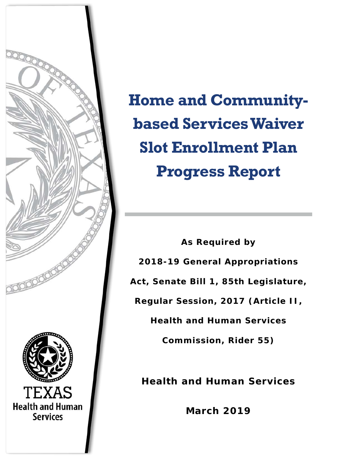

**Home and Communitybased Services Waiver Slot Enrollment Plan Progress Report**

**As Required by 2018-19 General Appropriations Act, Senate Bill 1, 85th Legislature, Regular Session, 2017 (Article II, Health and Human Services Commission, Rider 55)**

**Health and Human Services**

**March 2019**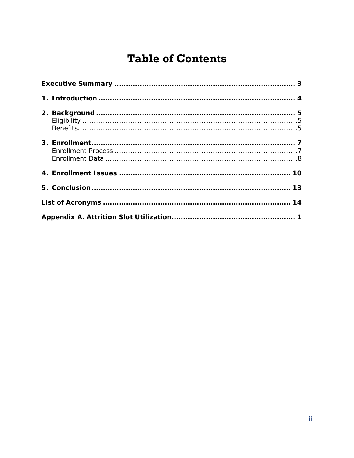# **Table of Contents**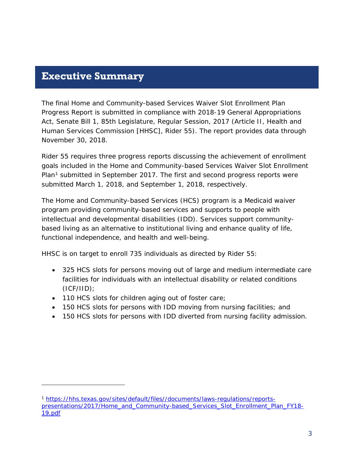#### <span id="page-2-0"></span>**Executive Summary**

1

The final *Home and Community-based Services Waiver Slot Enrollment Plan Progress Report* is submitted in compliance with 2018-19 General Appropriations Act, Senate Bill 1, 85th Legislature, Regular Session, 2017 (Article II, Health and Human Services Commission [HHSC], Rider 55). The report provides data through November 30, 2018.

Rider 55 requires three progress reports discussing the achievement of enrollment goals included in the *Home and Community-based Services Waiver Slot Enrollment Plan*[1](#page-2-1) submitted in September 2017. The first and second progress reports were submitted March 1, 2018, and September 1, 2018, respectively.

The Home and Community-based Services (HCS) program is a Medicaid waiver program providing community-based services and supports to people with intellectual and developmental disabilities (IDD). Services support communitybased living as an alternative to institutional living and enhance quality of life, functional independence, and health and well-being.

HHSC is on target to enroll 735 individuals as directed by Rider 55:

- 325 HCS slots for persons moving out of large and medium intermediate care facilities for individuals with an intellectual disability or related conditions  $(ICF/IID)$ ;
- 110 HCS slots for children aging out of foster care;
- 150 HCS slots for persons with IDD moving from nursing facilities; and
- 150 HCS slots for persons with IDD diverted from nursing facility admission.

<span id="page-2-1"></span><sup>1</sup> [https://hhs.texas.gov/sites/default/files//documents/laws-regulations/reports](https://hhs.texas.gov/sites/default/files/documents/laws-regulations/reports-presentations/2017/Home_and_Community-based_Services_Slot_Enrollment_Plan_FY18-19.pdf)[presentations/2017/Home\\_and\\_Community-based\\_Services\\_Slot\\_Enrollment\\_Plan\\_FY18-](https://hhs.texas.gov/sites/default/files/documents/laws-regulations/reports-presentations/2017/Home_and_Community-based_Services_Slot_Enrollment_Plan_FY18-19.pdf) [19.pdf](https://hhs.texas.gov/sites/default/files/documents/laws-regulations/reports-presentations/2017/Home_and_Community-based_Services_Slot_Enrollment_Plan_FY18-19.pdf)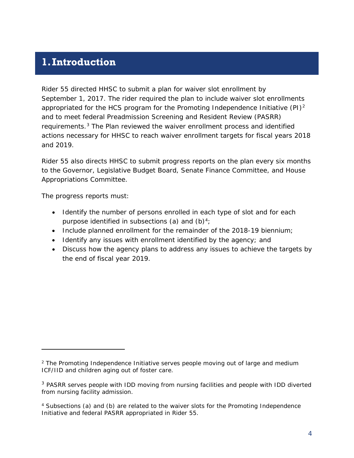#### <span id="page-3-0"></span>**1.Introduction**

Rider 55 directed HHSC to submit a plan for waiver slot enrollment by September 1, 2017. The rider required the plan to include waiver slot enrollments appropriated for the HCS program for the Promoting Independence Initiative  $(PI)^2$  $(PI)^2$ and to meet federal Preadmission Screening and Resident Review (PASRR) requirements.[3](#page-3-2) The Plan reviewed the waiver enrollment process and identified actions necessary for HHSC to reach waiver enrollment targets for fiscal years 2018 and 2019.

Rider 55 also directs HHSC to submit progress reports on the plan every six months to the Governor, Legislative Budget Board, Senate Finance Committee, and House Appropriations Committee.

The progress reports must:

l

- Identify the number of persons enrolled in each type of slot and for each purpose identified in subsections (a) and  $(b)^4$ ;
- Include planned enrollment for the remainder of the 2018-19 biennium;
- Identify any issues with enrollment identified by the agency; and
- Discuss how the agency plans to address any issues to achieve the targets by the end of fiscal year 2019.

<span id="page-3-1"></span><sup>&</sup>lt;sup>2</sup> The Promoting Independence Initiative serves people moving out of large and medium ICF/IID and children aging out of foster care.

<span id="page-3-2"></span><sup>&</sup>lt;sup>3</sup> PASRR serves people with IDD moving from nursing facilities and people with IDD diverted from nursing facility admission.

<span id="page-3-3"></span><sup>4</sup> Subsections (a) and (b) are related to the waiver slots for the Promoting Independence Initiative and federal PASRR appropriated in Rider 55.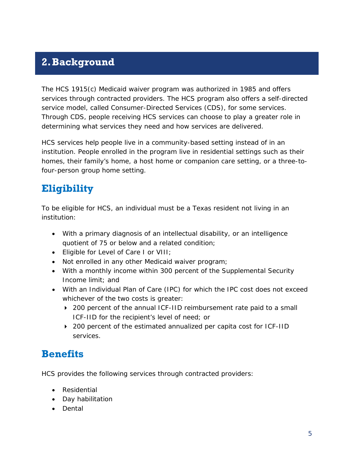#### <span id="page-4-0"></span>**2.Background**

The HCS 1915(c) Medicaid waiver program was authorized in 1985 and offers services through contracted providers. The HCS program also offers a self-directed service model, called Consumer-Directed Services (CDS), for some services. Through CDS, people receiving HCS services can choose to play a greater role in determining what services they need and how services are delivered.

HCS services help people live in a community-based setting instead of in an institution. People enrolled in the program live in residential settings such as their homes, their family's home, a host home or companion care setting, or a three-tofour-person group home setting.

## <span id="page-4-1"></span>**Eligibility**

To be eligible for HCS, an individual must be a Texas resident not living in an institution:

- With a primary diagnosis of an intellectual disability, or an intelligence quotient of 75 or below and a related condition;
- Eligible for Level of Care I or VIII;
- Not enrolled in any other Medicaid waiver program;
- With a monthly income within 300 percent of the Supplemental Security Income limit; and
- With an Individual Plan of Care (IPC) for which the IPC cost does not exceed whichever of the two costs is greater:
	- ▶ 200 percent of the annual ICF-IID reimbursement rate paid to a small ICF-IID for the recipient's level of need; or
	- ▶ 200 percent of the estimated annualized per capita cost for ICF-IID services.

#### <span id="page-4-2"></span>**Benefits**

HCS provides the following services through contracted providers:

- Residential
- Day habilitation
- Dental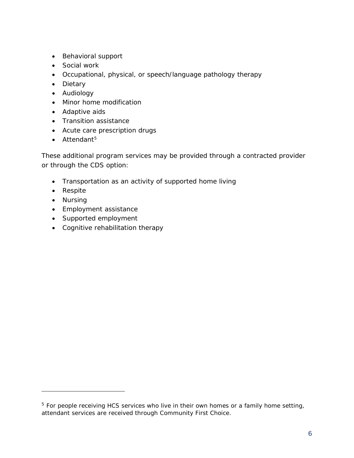- Behavioral support
- Social work
- Occupational, physical, or speech/language pathology therapy
- Dietary
- Audiology
- Minor home modification
- Adaptive aids
- Transition assistance
- Acute care prescription drugs
- Attendant<sup>[5](#page-5-0)</sup>

These additional program services may be provided through a contracted provider or through the CDS option:

- Transportation as an activity of supported home living
- Respite
- Nursing

l

- Employment assistance
- Supported employment
- Cognitive rehabilitation therapy

<span id="page-5-0"></span> $5$  For people receiving HCS services who live in their own homes or a family home setting, attendant services are received through Community First Choice.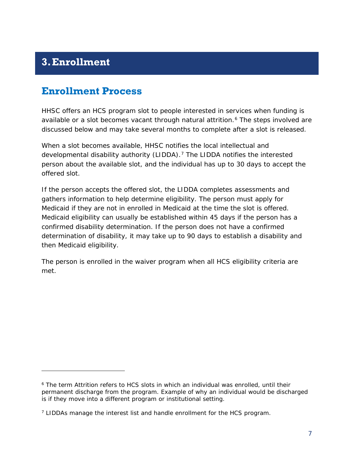## <span id="page-6-0"></span>**3.Enrollment**

l

#### <span id="page-6-1"></span>**Enrollment Process**

HHSC offers an HCS program slot to people interested in services when funding is available or a slot becomes vacant through natural attrition.<sup>[6](#page-6-2)</sup> The steps involved are discussed below and may take several months to complete after a slot is released.

When a slot becomes available, HHSC notifies the local intellectual and developmental disability authority (LIDDA).<sup>[7](#page-6-3)</sup> The LIDDA notifies the interested person about the available slot, and the individual has up to 30 days to accept the offered slot.

If the person accepts the offered slot, the LIDDA completes assessments and gathers information to help determine eligibility. The person must apply for Medicaid if they are not in enrolled in Medicaid at the time the slot is offered. Medicaid eligibility can usually be established within 45 days if the person has a confirmed disability determination. If the person does not have a confirmed determination of disability, it may take up to 90 days to establish a disability and then Medicaid eligibility.

The person is enrolled in the waiver program when all HCS eligibility criteria are met.

<span id="page-6-2"></span><sup>6</sup> The term *Attrition* refers to HCS slots in which an individual was enrolled, until their permanent discharge from the program. Example of why an individual would be discharged is if they move into a different program or institutional setting.

<span id="page-6-3"></span> $<sup>7</sup>$  LIDDAs manage the interest list and handle enrollment for the HCS program.</sup>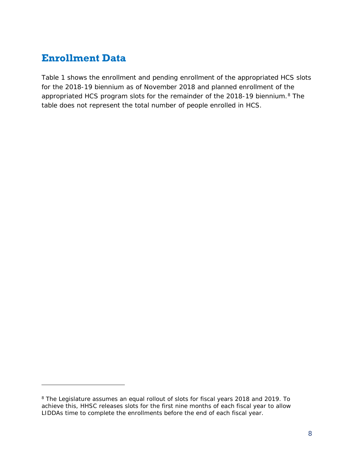#### <span id="page-7-0"></span>**Enrollment Data**

1

Table 1 shows the enrollment and pending enrollment of the appropriated HCS slots for the 2018-19 biennium as of November 2018 and planned enrollment of the appropriated HCS program slots for the remainder of the 201[8](#page-7-1)-19 biennium.<sup>8</sup> The table does not represent the total number of people enrolled in HCS.

<span id="page-7-1"></span><sup>&</sup>lt;sup>8</sup> The Legislature assumes an equal rollout of slots for fiscal years 2018 and 2019. To achieve this, HHSC releases slots for the first nine months of each fiscal year to allow LIDDAs time to complete the enrollments before the end of each fiscal year.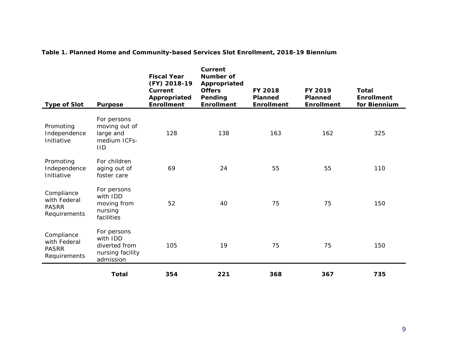| <b>Type of Slot</b>                                        | <b>Purpose</b>                                                            | <b>Fiscal Year</b><br>(FY) 2018-19<br>Current<br>Appropriated<br><b>Enrollment</b> | Current<br>Number of<br>Appropriated<br><b>Offers</b><br>Pending<br><b>Enrollment</b> | <b>FY 2018</b><br><b>Planned</b><br><b>Enrollment</b> | FY 2019<br><b>Planned</b><br><b>Enrollment</b> | <b>Total</b><br><b>Enrollment</b><br>for Biennium |
|------------------------------------------------------------|---------------------------------------------------------------------------|------------------------------------------------------------------------------------|---------------------------------------------------------------------------------------|-------------------------------------------------------|------------------------------------------------|---------------------------------------------------|
| Promoting<br>Independence<br>Initiative                    | For persons<br>moving out of<br>large and<br>medium ICFs-<br><b>IID</b>   | 128                                                                                | 138                                                                                   | 163                                                   | 162                                            | 325                                               |
| Promoting<br>Independence<br>Initiative                    | For children<br>aging out of<br>foster care                               | 69                                                                                 | 24                                                                                    | 55                                                    | 55                                             | 110                                               |
| Compliance<br>with Federal<br><b>PASRR</b><br>Requirements | For persons<br>with IDD<br>moving from<br>nursing<br>facilities           | 52                                                                                 | 40                                                                                    | 75                                                    | 75                                             | 150                                               |
| Compliance<br>with Federal<br><b>PASRR</b><br>Requirements | For persons<br>with IDD<br>diverted from<br>nursing facility<br>admission | 105                                                                                | 19                                                                                    | 75                                                    | 75                                             | 150                                               |
|                                                            | <b>Total</b>                                                              | 354                                                                                | 221                                                                                   | 368                                                   | 367                                            | 735                                               |

#### **Table 1. Planned Home and Community-based Services Slot Enrollment, 2018-19 Biennium**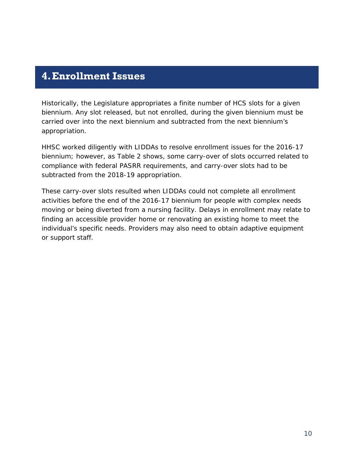#### <span id="page-9-0"></span>**4.Enrollment Issues**

Historically, the Legislature appropriates a finite number of HCS slots for a given biennium. Any slot released, but not enrolled, during the given biennium must be carried over into the next biennium and subtracted from the next biennium's appropriation.

HHSC worked diligently with LIDDAs to resolve enrollment issues for the 2016-17 biennium; however, as Table 2 shows, some carry-over of slots occurred related to compliance with federal PASRR requirements, and carry-over slots had to be subtracted from the 2018-19 appropriation.

These carry-over slots resulted when LIDDAs could not complete all enrollment activities before the end of the 2016-17 biennium for people with complex needs moving or being diverted from a nursing facility. Delays in enrollment may relate to finding an accessible provider home or renovating an existing home to meet the individual's specific needs. Providers may also need to obtain adaptive equipment or support staff.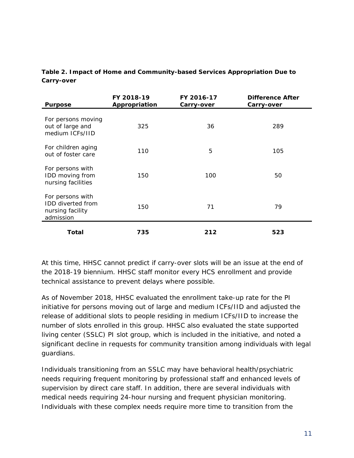| Table 2. Impact of Home and Community-based Services Appropriation Due to |  |
|---------------------------------------------------------------------------|--|
| Carry-over                                                                |  |

| <b>Purpose</b>                                                                | FY 2018-19<br>Appropriation | FY 2016-17<br>Carry-over | <b>Difference After</b><br>Carry-over |
|-------------------------------------------------------------------------------|-----------------------------|--------------------------|---------------------------------------|
| For persons moving<br>out of large and<br>medium ICFs/IID                     | 325                         | 36                       | 289                                   |
| For children aging<br>out of foster care                                      | 110                         | 5                        | 105                                   |
| For persons with<br><b>IDD</b> moving from<br>nursing facilities              | 150                         | 100                      | 50                                    |
| For persons with<br><b>IDD</b> diverted from<br>nursing facility<br>admission | 150                         | 71                       | 79                                    |
| Total                                                                         | 735                         | 212                      | 523                                   |

At this time, HHSC cannot predict if carry-over slots will be an issue at the end of the 2018-19 biennium. HHSC staff monitor every HCS enrollment and provide technical assistance to prevent delays where possible.

As of November 2018, HHSC evaluated the enrollment take-up rate for the PI initiative for persons moving out of large and medium ICFs/IID and adjusted the release of additional slots to people residing in medium ICFs/IID to increase the number of slots enrolled in this group. HHSC also evaluated the state supported living center (SSLC) PI slot group, which is included in the initiative, and noted a significant decline in requests for community transition among individuals with legal guardians.

Individuals transitioning from an SSLC may have behavioral health/psychiatric needs requiring frequent monitoring by professional staff and enhanced levels of supervision by direct care staff. In addition, there are several individuals with medical needs requiring 24-hour nursing and frequent physician monitoring. Individuals with these complex needs require more time to transition from the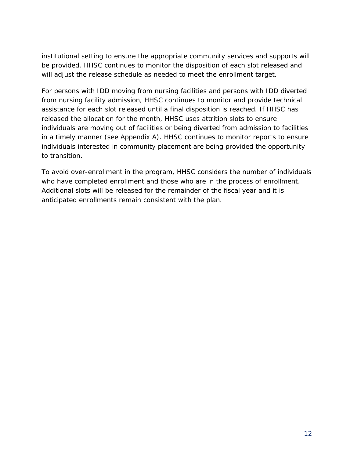institutional setting to ensure the appropriate community services and supports will be provided. HHSC continues to monitor the disposition of each slot released and will adjust the release schedule as needed to meet the enrollment target.

For persons with IDD moving from nursing facilities and persons with IDD diverted from nursing facility admission, HHSC continues to monitor and provide technical assistance for each slot released until a final disposition is reached. If HHSC has released the allocation for the month, HHSC uses attrition slots to ensure individuals are moving out of facilities or being diverted from admission to facilities in a timely manner (see Appendix A). HHSC continues to monitor reports to ensure individuals interested in community placement are being provided the opportunity to transition.

To avoid over-enrollment in the program, HHSC considers the number of individuals who have completed enrollment and those who are in the process of enrollment. Additional slots will be released for the remainder of the fiscal year and it is anticipated enrollments remain consistent with the plan.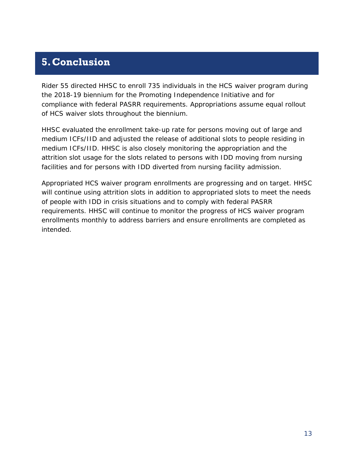#### <span id="page-12-0"></span>**5.Conclusion**

Rider 55 directed HHSC to enroll 735 individuals in the HCS waiver program during the 2018-19 biennium for the Promoting Independence Initiative and for compliance with federal PASRR requirements. Appropriations assume equal rollout of HCS waiver slots throughout the biennium.

HHSC evaluated the enrollment take-up rate for persons moving out of large and medium ICFs/IID and adjusted the release of additional slots to people residing in medium ICFs/IID. HHSC is also closely monitoring the appropriation and the attrition slot usage for the slots related to persons with IDD moving from nursing facilities and for persons with IDD diverted from nursing facility admission.

Appropriated HCS waiver program enrollments are progressing and on target. HHSC will continue using attrition slots in addition to appropriated slots to meet the needs of people with IDD in crisis situations and to comply with federal PASRR requirements. HHSC will continue to monitor the progress of HCS waiver program enrollments monthly to address barriers and ensure enrollments are completed as intended.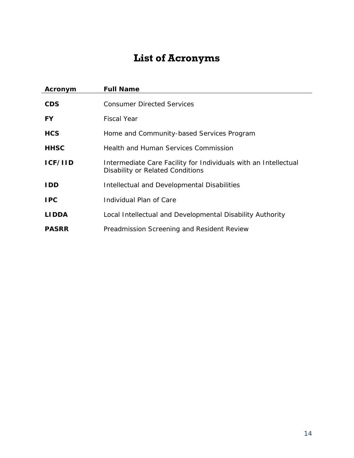# **List of Acronyms**

<span id="page-13-0"></span>

| Acronym      | <b>Full Name</b>                                                                                    |
|--------------|-----------------------------------------------------------------------------------------------------|
| <b>CDS</b>   | <b>Consumer Directed Services</b>                                                                   |
| <b>FY</b>    | <b>Fiscal Year</b>                                                                                  |
| <b>HCS</b>   | Home and Community-based Services Program                                                           |
| <b>HHSC</b>  | Health and Human Services Commission                                                                |
| ICF/IID      | Intermediate Care Facility for Individuals with an Intellectual<br>Disability or Related Conditions |
| I DD         | Intellectual and Developmental Disabilities                                                         |
| <b>IPC</b>   | Individual Plan of Care                                                                             |
| <b>LIDDA</b> | Local Intellectual and Developmental Disability Authority                                           |
| <b>PASRR</b> | Preadmission Screening and Resident Review                                                          |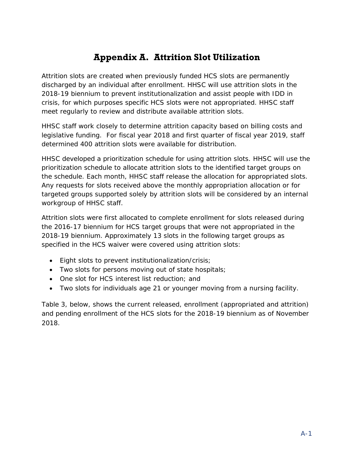#### <span id="page-14-0"></span>**Appendix A. Attrition Slot Utilization**

Attrition slots are created when previously funded HCS slots are permanently discharged by an individual after enrollment. HHSC will use attrition slots in the 2018-19 biennium to prevent institutionalization and assist people with IDD in crisis, for which purposes specific HCS slots were not appropriated. HHSC staff meet regularly to review and distribute available attrition slots.

HHSC staff work closely to determine attrition capacity based on billing costs and legislative funding. For fiscal year 2018 and first quarter of fiscal year 2019, staff determined 400 attrition slots were available for distribution.

HHSC developed a prioritization schedule for using attrition slots. HHSC will use the prioritization schedule to allocate attrition slots to the identified target groups on the schedule. Each month, HHSC staff release the allocation for appropriated slots. Any requests for slots received above the monthly appropriation allocation or for targeted groups supported solely by attrition slots will be considered by an internal workgroup of HHSC staff.

Attrition slots were first allocated to complete enrollment for slots released during the 2016-17 biennium for HCS target groups that were not appropriated in the 2018-19 biennium. Approximately 13 slots in the following target groups as specified in the HCS waiver were covered using attrition slots:

- Eight slots to prevent institutionalization/crisis;
- Two slots for persons moving out of state hospitals;
- One slot for HCS interest list reduction; and
- Two slots for individuals age 21 or younger moving from a nursing facility.

Table 3, below, shows the current released, enrollment (appropriated and attrition) and pending enrollment of the HCS slots for the 2018-19 biennium as of November 2018.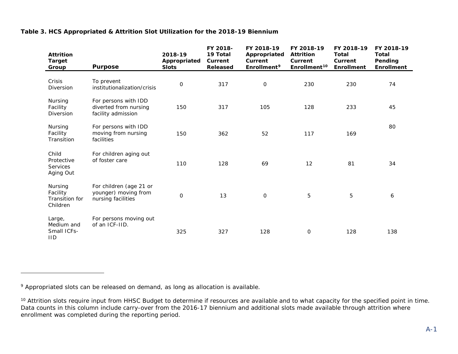<span id="page-15-1"></span><span id="page-15-0"></span>

| <b>Attrition</b><br><b>Target</b><br>Group          | <b>Purpose</b>                                                        | 2018-19<br>Appropriated<br><b>Slots</b> | FY 2018-<br>19 Total<br>Current<br><b>Released</b> | FY 2018-19<br>Appropriated<br>Current<br>Enrollment <sup>9</sup> | FY 2018-19<br><b>Attrition</b><br>Current<br>Enrollment <sup>10</sup> | FY 2018-19<br>Total<br>Current<br><b>Enrollment</b> | FY 2018-19<br><b>Total</b><br>Pending<br><b>Enrollment</b> |
|-----------------------------------------------------|-----------------------------------------------------------------------|-----------------------------------------|----------------------------------------------------|------------------------------------------------------------------|-----------------------------------------------------------------------|-----------------------------------------------------|------------------------------------------------------------|
| Crisis<br>Diversion                                 | To prevent<br>institutionalization/crisis                             | $\mathbf{O}$                            | 317                                                | $\mathbf 0$                                                      | 230                                                                   | 230                                                 | 74                                                         |
| Nursing<br>Facility<br><b>Diversion</b>             | For persons with IDD<br>diverted from nursing<br>facility admission   | 150                                     | 317                                                | 105                                                              | 128                                                                   | 233                                                 | 45                                                         |
| Nursing<br>Facility<br>Transition                   | For persons with IDD<br>moving from nursing<br>facilities             | 150                                     | 362                                                | 52                                                               | 117                                                                   | 169                                                 | 80                                                         |
| Child<br>Protective<br><b>Services</b><br>Aging Out | For children aging out<br>of foster care                              | 110                                     | 128                                                | 69                                                               | 12                                                                    | 81                                                  | 34                                                         |
| Nursing<br>Facility<br>Transition for<br>Children   | For children (age 21 or<br>younger) moving from<br>nursing facilities | $\mathbf 0$                             | 13                                                 | $\mathsf{O}$                                                     | 5                                                                     | 5                                                   | 6                                                          |
| Large,<br>Medium and<br>Small ICFs-<br><b>IID</b>   | For persons moving out<br>of an ICF-IID.                              | 325                                     | 327                                                | 128                                                              | 0                                                                     | 128                                                 | 138                                                        |

#### **Table 3. HCS Appropriated & Attrition Slot Utilization for the 2018-19 Biennium**

1

<sup>9</sup> Appropriated slots can be released on demand, as long as allocation is available.

<sup>&</sup>lt;sup>10</sup> Attrition slots require input from HHSC Budget to determine if resources are available and to what capacity for the specified point in time. Data counts in this column include carry-over from the 2016-17 biennium and additional slots made available through attrition where enrollment was completed during the reporting period.